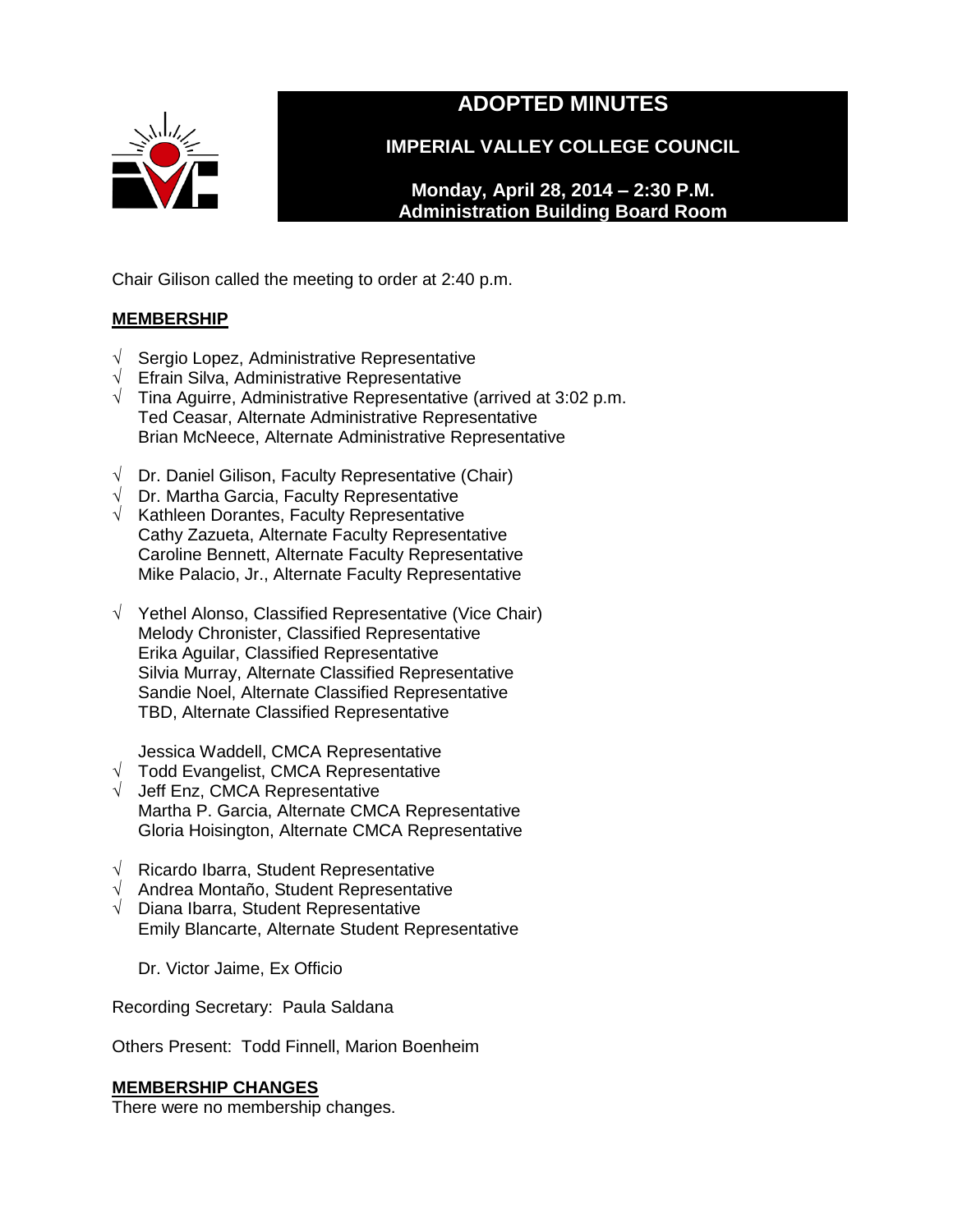

# **ADOPTED MINUTES**

**IMPERIAL VALLEY COLLEGE COUNCIL**

**Monday, April 28, 2014 – 2:30 P.M. Administration Building Board Room** 

Chair Gilison called the meeting to order at 2:40 p.m.

# **MEMBERSHIP**

- √ Sergio Lopez, Administrative Representative
- √ Efrain Silva, Administrative Representative
- $\sqrt{\phantom{a}}$  Tina Aguirre, Administrative Representative (arrived at 3:02 p.m. Ted Ceasar, Alternate Administrative Representative Brian McNeece, Alternate Administrative Representative
- √ Dr. Daniel Gilison, Faculty Representative (Chair)
- $\sqrt{ }$  Dr. Martha Garcia, Faculty Representative
- $\sqrt{\phantom{a}}$  Kathleen Dorantes, Faculty Representative Cathy Zazueta, Alternate Faculty Representative Caroline Bennett, Alternate Faculty Representative Mike Palacio, Jr., Alternate Faculty Representative
- √ Yethel Alonso, Classified Representative (Vice Chair) Melody Chronister, Classified Representative Erika Aguilar, Classified Representative Silvia Murray, Alternate Classified Representative Sandie Noel, Alternate Classified Representative TBD, Alternate Classified Representative

Jessica Waddell, CMCA Representative

- √ Todd Evangelist, CMCA Representative
- √ Jeff Enz, CMCA Representative Martha P. Garcia, Alternate CMCA Representative Gloria Hoisington, Alternate CMCA Representative
- √ Ricardo Ibarra, Student Representative
- √ Andrea Montaño, Student Representative
- √ Diana Ibarra, Student Representative Emily Blancarte, Alternate Student Representative

Dr. Victor Jaime, Ex Officio

Recording Secretary: Paula Saldana

Others Present: Todd Finnell, Marion Boenheim

### **MEMBERSHIP CHANGES**

There were no membership changes.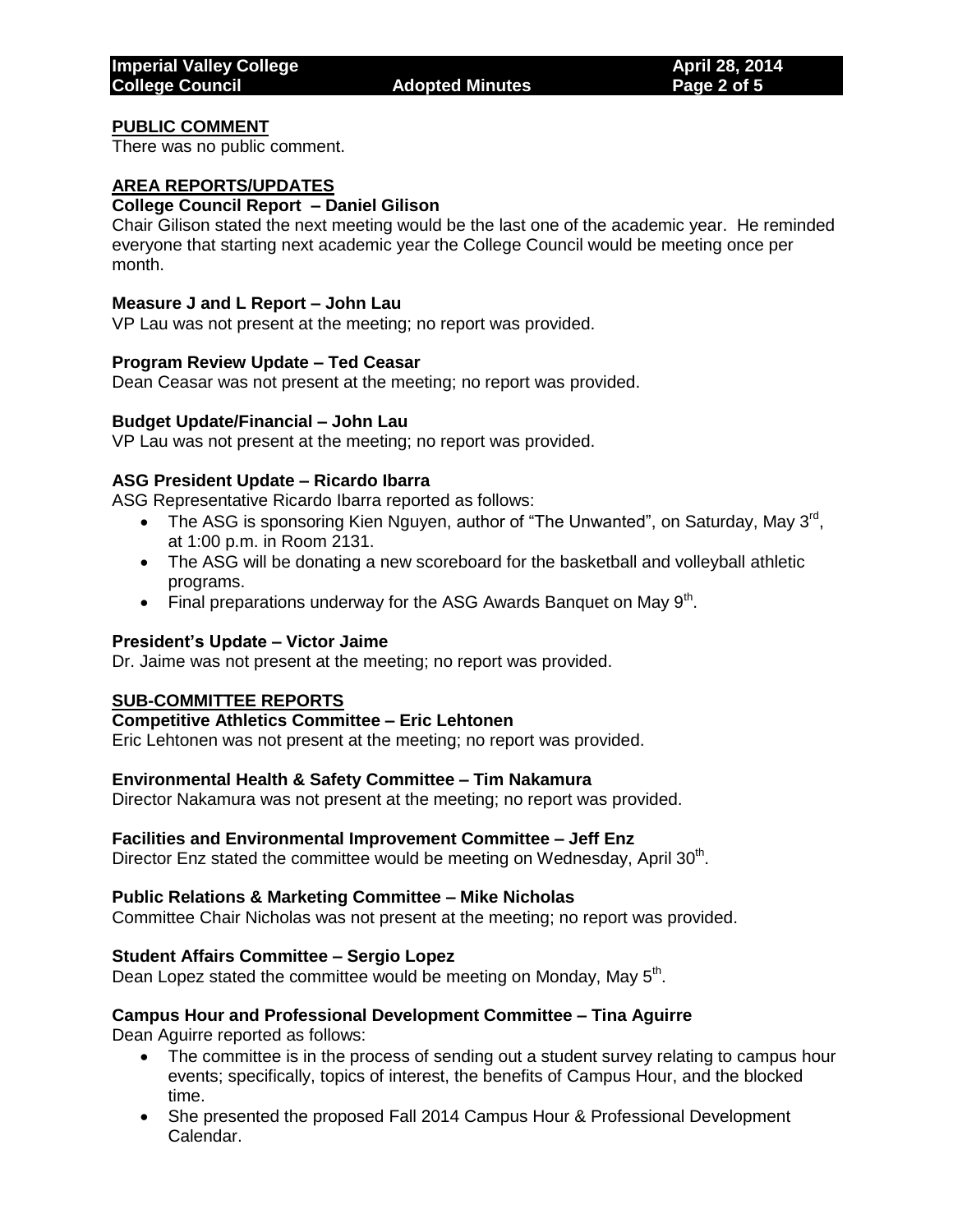### **PUBLIC COMMENT**

There was no public comment.

### **AREA REPORTS/UPDATES**

### **College Council Report – Daniel Gilison**

Chair Gilison stated the next meeting would be the last one of the academic year. He reminded everyone that starting next academic year the College Council would be meeting once per month.

#### **Measure J and L Report – John Lau**

VP Lau was not present at the meeting; no report was provided.

#### **Program Review Update – Ted Ceasar**

Dean Ceasar was not present at the meeting; no report was provided.

#### **Budget Update/Financial – John Lau**

VP Lau was not present at the meeting; no report was provided.

#### **ASG President Update – Ricardo Ibarra**

ASG Representative Ricardo Ibarra reported as follows:

- The ASG is sponsoring Kien Nguyen, author of "The Unwanted", on Saturday, May  $3^{\text{rd}}$ , at 1:00 p.m. in Room 2131.
- The ASG will be donating a new scoreboard for the basketball and volleyball athletic programs.
- Final preparations underway for the ASG Awards Banquet on May  $9<sup>th</sup>$ .

#### **President's Update – Victor Jaime**

Dr. Jaime was not present at the meeting; no report was provided.

#### **SUB-COMMITTEE REPORTS**

### **Competitive Athletics Committee – Eric Lehtonen**

Eric Lehtonen was not present at the meeting; no report was provided.

### **Environmental Health & Safety Committee – Tim Nakamura**

Director Nakamura was not present at the meeting; no report was provided.

#### **Facilities and Environmental Improvement Committee – Jeff Enz**

Director Enz stated the committee would be meeting on Wednesday, April 30<sup>th</sup>.

#### **Public Relations & Marketing Committee – Mike Nicholas**

Committee Chair Nicholas was not present at the meeting; no report was provided.

#### **Student Affairs Committee – Sergio Lopez**

Dean Lopez stated the committee would be meeting on Monday, May 5<sup>th</sup>.

#### **Campus Hour and Professional Development Committee – Tina Aguirre**

Dean Aguirre reported as follows:

- The committee is in the process of sending out a student survey relating to campus hour events; specifically, topics of interest, the benefits of Campus Hour, and the blocked time.
- She presented the proposed Fall 2014 Campus Hour & Professional Development Calendar.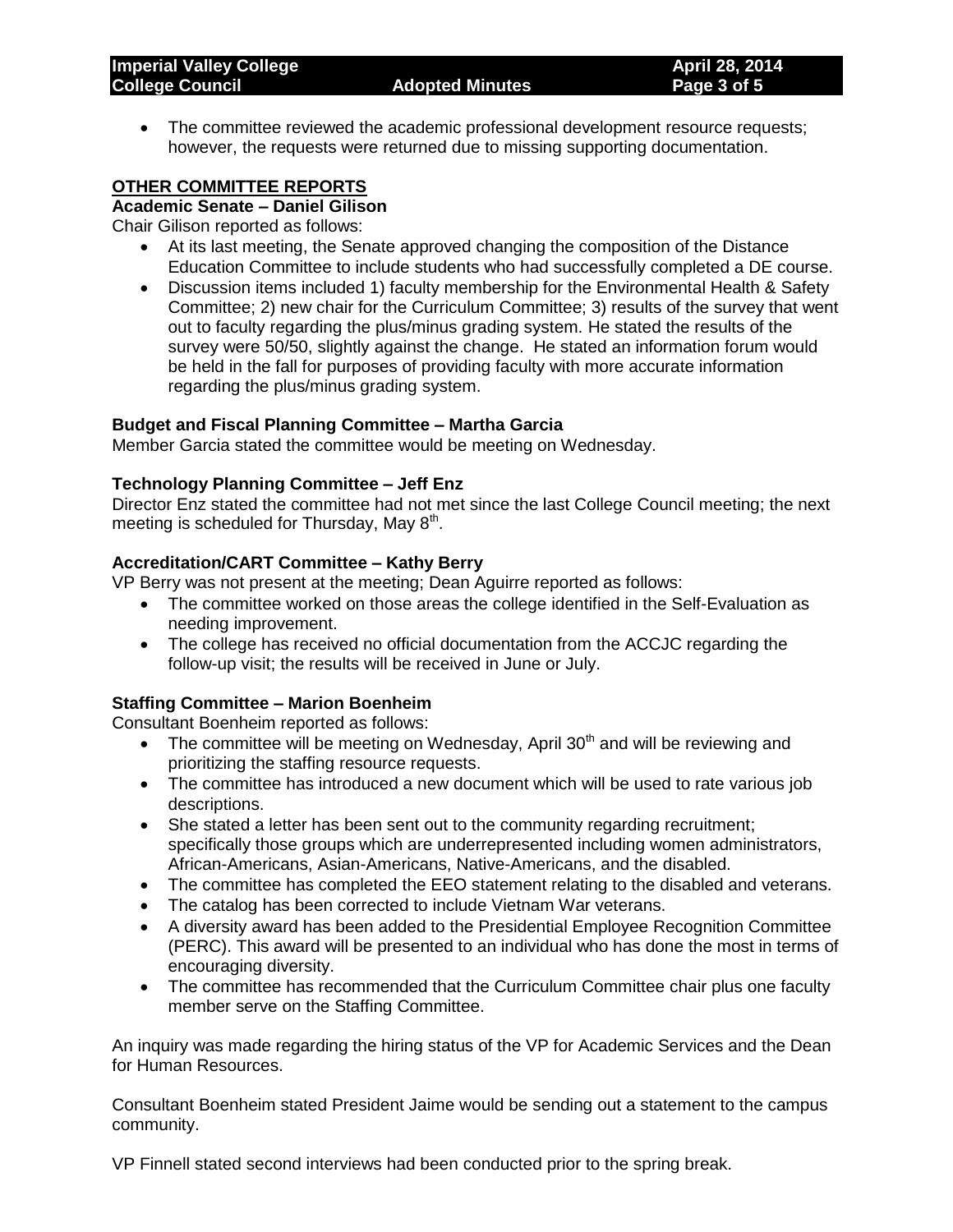The committee reviewed the academic professional development resource requests; however, the requests were returned due to missing supporting documentation.

### **OTHER COMMITTEE REPORTS**

### **Academic Senate – Daniel Gilison**

Chair Gilison reported as follows:

- At its last meeting, the Senate approved changing the composition of the Distance Education Committee to include students who had successfully completed a DE course.
- Discussion items included 1) faculty membership for the Environmental Health & Safety Committee; 2) new chair for the Curriculum Committee; 3) results of the survey that went out to faculty regarding the plus/minus grading system. He stated the results of the survey were 50/50, slightly against the change. He stated an information forum would be held in the fall for purposes of providing faculty with more accurate information regarding the plus/minus grading system.

#### **Budget and Fiscal Planning Committee – Martha Garcia**

Member Garcia stated the committee would be meeting on Wednesday.

### **Technology Planning Committee – Jeff Enz**

Director Enz stated the committee had not met since the last College Council meeting; the next meeting is scheduled for Thursday, May 8<sup>th</sup>.

# **Accreditation/CART Committee – Kathy Berry**

VP Berry was not present at the meeting; Dean Aguirre reported as follows:

- The committee worked on those areas the college identified in the Self-Evaluation as needing improvement.
- The college has received no official documentation from the ACCJC regarding the follow-up visit; the results will be received in June or July.

### **Staffing Committee – Marion Boenheim**

Consultant Boenheim reported as follows:

- The committee will be meeting on Wednesday, April  $30<sup>th</sup>$  and will be reviewing and prioritizing the staffing resource requests.
- The committee has introduced a new document which will be used to rate various job descriptions.
- She stated a letter has been sent out to the community regarding recruitment: specifically those groups which are underrepresented including women administrators, African-Americans, Asian-Americans, Native-Americans, and the disabled.
- The committee has completed the EEO statement relating to the disabled and veterans.
- The catalog has been corrected to include Vietnam War veterans.
- A diversity award has been added to the Presidential Employee Recognition Committee (PERC). This award will be presented to an individual who has done the most in terms of encouraging diversity.
- The committee has recommended that the Curriculum Committee chair plus one faculty member serve on the Staffing Committee.

An inquiry was made regarding the hiring status of the VP for Academic Services and the Dean for Human Resources.

Consultant Boenheim stated President Jaime would be sending out a statement to the campus community.

VP Finnell stated second interviews had been conducted prior to the spring break.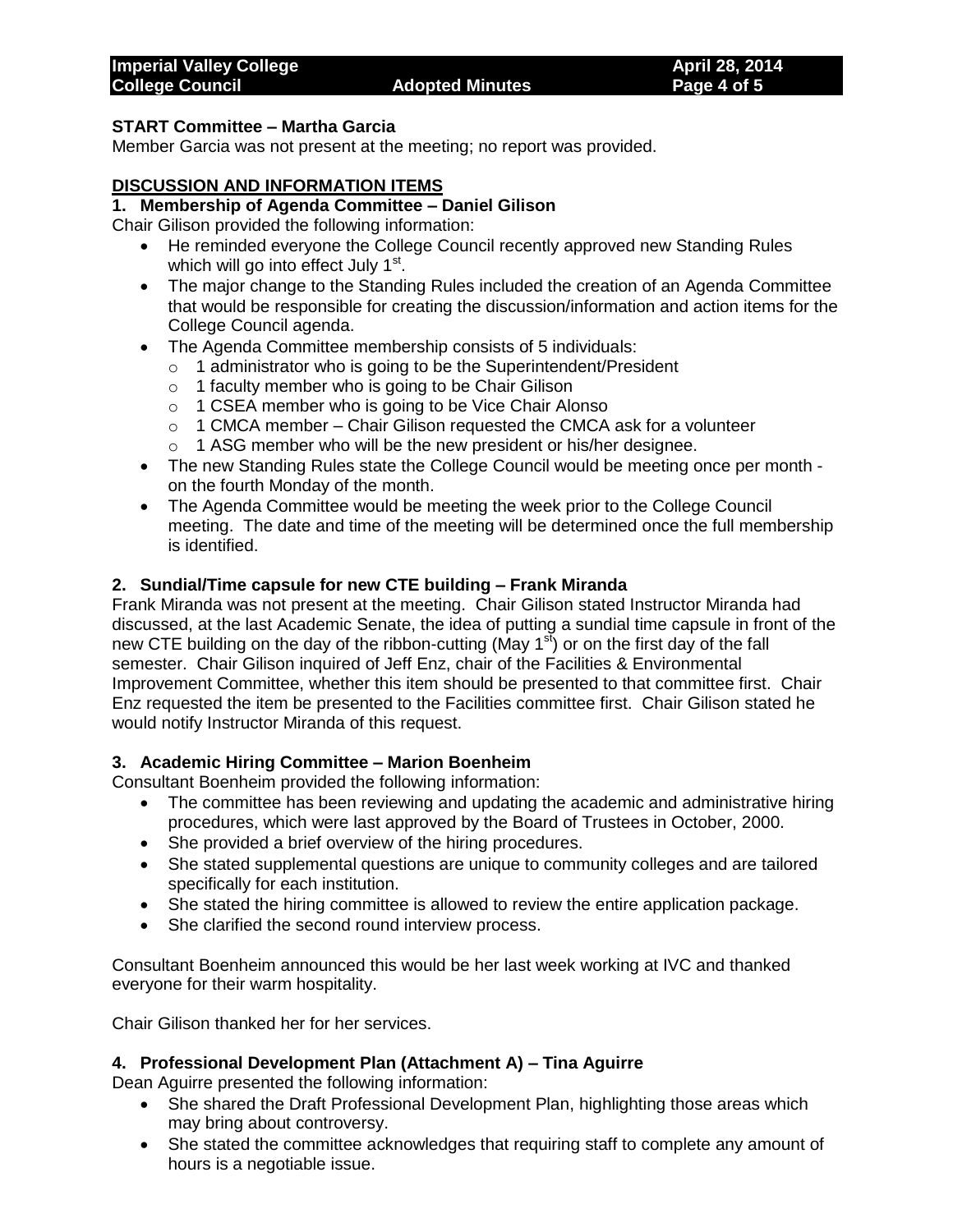### **START Committee – Martha Garcia**

Member Garcia was not present at the meeting; no report was provided.

### **DISCUSSION AND INFORMATION ITEMS**

### **1. Membership of Agenda Committee – Daniel Gilison**

Chair Gilison provided the following information:

- He reminded everyone the College Council recently approved new Standing Rules which will go into effect July 1<sup>st</sup>.
- The major change to the Standing Rules included the creation of an Agenda Committee that would be responsible for creating the discussion/information and action items for the College Council agenda.
- The Agenda Committee membership consists of 5 individuals:
	- o 1 administrator who is going to be the Superintendent/President
	- o 1 faculty member who is going to be Chair Gilison
	- o 1 CSEA member who is going to be Vice Chair Alonso
	- $\circ$  1 CMCA member Chair Gilison requested the CMCA ask for a volunteer
	- o 1 ASG member who will be the new president or his/her designee.
- The new Standing Rules state the College Council would be meeting once per month on the fourth Monday of the month.
- The Agenda Committee would be meeting the week prior to the College Council meeting. The date and time of the meeting will be determined once the full membership is identified.

### **2. Sundial/Time capsule for new CTE building – Frank Miranda**

Frank Miranda was not present at the meeting. Chair Gilison stated Instructor Miranda had discussed, at the last Academic Senate, the idea of putting a sundial time capsule in front of the new CTE building on the day of the ribbon-cutting (May  $1^{st}$ ) or on the first day of the fall semester. Chair Gilison inquired of Jeff Enz, chair of the Facilities & Environmental Improvement Committee, whether this item should be presented to that committee first. Chair Enz requested the item be presented to the Facilities committee first. Chair Gilison stated he would notify Instructor Miranda of this request.

### **3. Academic Hiring Committee – Marion Boenheim**

Consultant Boenheim provided the following information:

- The committee has been reviewing and updating the academic and administrative hiring procedures, which were last approved by the Board of Trustees in October, 2000.
- She provided a brief overview of the hiring procedures.
- She stated supplemental questions are unique to community colleges and are tailored specifically for each institution.
- She stated the hiring committee is allowed to review the entire application package.
- She clarified the second round interview process.

Consultant Boenheim announced this would be her last week working at IVC and thanked everyone for their warm hospitality.

Chair Gilison thanked her for her services.

### **4. Professional Development Plan (Attachment A) – Tina Aguirre**

Dean Aguirre presented the following information:

- She shared the Draft Professional Development Plan, highlighting those areas which may bring about controversy.
- She stated the committee acknowledges that requiring staff to complete any amount of hours is a negotiable issue.